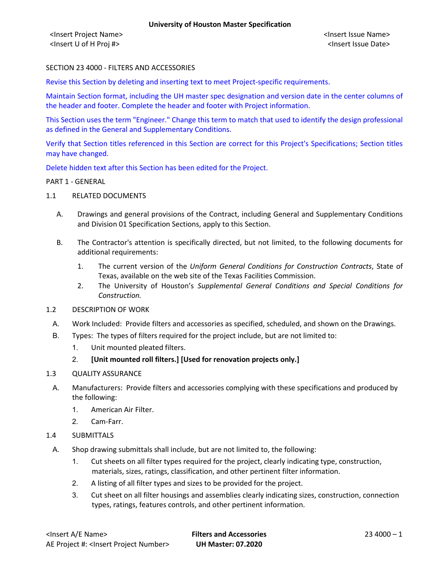<Insert Project Name> <Insert Issue Name> <Insert U of H Proj #> <Insert Issue Date>

# SECTION 23 4000 - FILTERS AND ACCESSORIES

Revise this Section by deleting and inserting text to meet Project-specific requirements.

Maintain Section format, including the UH master spec designation and version date in the center columns of the header and footer. Complete the header and footer with Project information.

This Section uses the term "Engineer." Change this term to match that used to identify the design professional as defined in the General and Supplementary Conditions.

Verify that Section titles referenced in this Section are correct for this Project's Specifications; Section titles may have changed.

Delete hidden text after this Section has been edited for the Project.

#### PART 1 - GENERAL

- 1.1 RELATED DOCUMENTS
	- A. Drawings and general provisions of the Contract, including General and Supplementary Conditions and Division 01 Specification Sections, apply to this Section.
	- B. The Contractor's attention is specifically directed, but not limited, to the following documents for additional requirements:
		- 1. The current version of the *Uniform General Conditions for Construction Contracts*, State of Texas, available on the web site of the Texas Facilities Commission.
		- 2. The University of Houston's *Supplemental General Conditions and Special Conditions for Construction.*
- 1.2 DESCRIPTION OF WORK
	- A. Work Included: Provide filters and accessories as specified, scheduled, and shown on the Drawings.
- B. Types: The types of filters required for the project include, but are not limited to:
	- 1. Unit mounted pleated filters.
	- 2. **[Unit mounted roll filters.] [Used for renovation projects only.]**
- 1.3 QUALITY ASSURANCE
	- A. Manufacturers: Provide filters and accessories complying with these specifications and produced by the following:
		- 1. American Air Filter.
		- 2. Cam-Farr.
- 1.4 SUBMITTALS
	- A. Shop drawing submittals shall include, but are not limited to, the following:
		- 1. Cut sheets on all filter types required for the project, clearly indicating type, construction, materials, sizes, ratings, classification, and other pertinent filter information.
		- 2. A listing of all filter types and sizes to be provided for the project.
		- 3. Cut sheet on all filter housings and assemblies clearly indicating sizes, construction, connection types, ratings, features controls, and other pertinent information.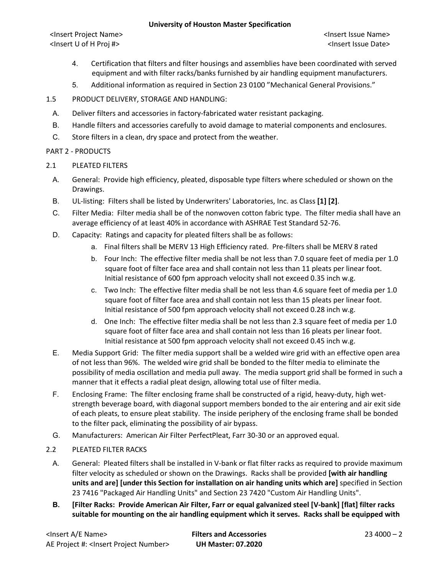### **University of Houston Master Specification**

<Insert Project Name> <Insert Issue Name> <Insert U of H Proj #> <Insert Issue Date>

- 4. Certification that filters and filter housings and assemblies have been coordinated with served equipment and with filter racks/banks furnished by air handling equipment manufacturers.
- 5. Additional information as required in Section 23 0100 "Mechanical General Provisions."
- 1.5 PRODUCT DELIVERY, STORAGE AND HANDLING:
	- A. Deliver filters and accessories in factory-fabricated water resistant packaging.
	- B. Handle filters and accessories carefully to avoid damage to material components and enclosures.
	- C. Store filters in a clean, dry space and protect from the weather.

### PART 2 - PRODUCTS

- 2.1 PLEATED FILTERS
	- A. General: Provide high efficiency, pleated, disposable type filters where scheduled or shown on the Drawings.
	- B. UL-listing: Filters shall be listed by Underwriters' Laboratories, Inc. as Class **[1] [2]**.
	- C. Filter Media: Filter media shall be of the nonwoven cotton fabric type. The filter media shall have an average efficiency of at least 40% in accordance with ASHRAE Test Standard 52-76.
	- D. Capacity: Ratings and capacity for pleated filters shall be as follows:
		- a. Final filters shall be MERV 13 High Efficiency rated. Pre-filters shall be MERV 8 rated
		- b. Four Inch: The effective filter media shall be not less than 7.0 square feet of media per 1.0 square foot of filter face area and shall contain not less than 11 pleats per linear foot. Initial resistance of 600 fpm approach velocity shall not exceed 0.35 inch w.g.
		- c. Two Inch: The effective filter media shall be not less than 4.6 square feet of media per 1.0 square foot of filter face area and shall contain not less than 15 pleats per linear foot. Initial resistance of 500 fpm approach velocity shall not exceed 0.28 inch w.g.
		- d. One Inch: The effective filter media shall be not less than 2.3 square feet of media per 1.0 square foot of filter face area and shall contain not less than 16 pleats per linear foot. Initial resistance at 500 fpm approach velocity shall not exceed 0.45 inch w.g.
	- E. Media Support Grid: The filter media support shall be a welded wire grid with an effective open area of not less than 96%. The welded wire grid shall be bonded to the filter media to eliminate the possibility of media oscillation and media pull away. The media support grid shall be formed in such a manner that it effects a radial pleat design, allowing total use of filter media.
	- F. Enclosing Frame: The filter enclosing frame shall be constructed of a rigid, heavy-duty, high wetstrength beverage board, with diagonal support members bonded to the air entering and air exit side of each pleats, to ensure pleat stability. The inside periphery of the enclosing frame shall be bonded to the filter pack, eliminating the possibility of air bypass.
	- G. Manufacturers: American Air Filter PerfectPleat, Farr 30-30 or an approved equal.

# 2.2 PLEATED FILTER RACKS

- A. General: Pleated filters shall be installed in V-bank or flat filter racks as required to provide maximum filter velocity as scheduled or shown on the Drawings. Racks shall be provided **[with air handling units and are] [under this Section for installation on air handing units which are]** specified in Section 23 7416 "Packaged Air Handling Units" and Section 23 7420 "Custom Air Handling Units".
- **B. [Filter Racks: Provide American Air Filter, Farr or equal galvanized steel [V-bank] [flat] filter racks suitable for mounting on the air handling equipment which it serves. Racks shall be equipped with**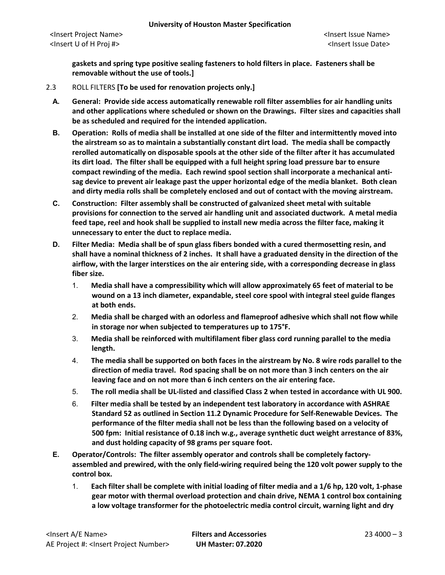<Insert Project Name> <Insert Issue Name> <Insert U of H Proj #> <Insert Issue Date>

**gaskets and spring type positive sealing fasteners to hold filters in place. Fasteners shall be removable without the use of tools.]**

- 2.3 ROLL FILTERS **[To be used for renovation projects only.]**
	- **A. General: Provide side access automatically renewable roll filter assemblies for air handling units and other applications where scheduled or shown on the Drawings. Filter sizes and capacities shall be as scheduled and required for the intended application.**
	- **B. Operation: Rolls of media shall be installed at one side of the filter and intermittently moved into the airstream so as to maintain a substantially constant dirt load. The media shall be compactly rerolled automatically on disposable spools at the other side of the filter after it has accumulated its dirt load. The filter shall be equipped with a full height spring load pressure bar to ensure compact rewinding of the media. Each rewind spool section shall incorporate a mechanical antisag device to prevent air leakage past the upper horizontal edge of the media blanket. Both clean and dirty media rolls shall be completely enclosed and out of contact with the moving airstream.**
	- **C. Construction: Filter assembly shall be constructed of galvanized sheet metal with suitable provisions for connection to the served air handling unit and associated ductwork. A metal media feed tape, reel and hook shall be supplied to install new media across the filter face, making it unnecessary to enter the duct to replace media.**
	- **D. Filter Media: Media shall be of spun glass fibers bonded with a cured thermosetting resin, and shall have a nominal thickness of 2 inches. It shall have a graduated density in the direction of the airflow, with the larger interstices on the air entering side, with a corresponding decrease in glass fiber size.**
		- 1. **Media shall have a compressibility which will allow approximately 65 feet of material to be wound on a 13 inch diameter, expandable, steel core spool with integral steel guide flanges at both ends.**
		- 2. **Media shall be charged with an odorless and flameproof adhesive which shall not flow while in storage nor when subjected to temperatures up to 175°F.**
		- 3. **Media shall be reinforced with multifilament fiber glass cord running parallel to the media length.**
		- 4. **The media shall be supported on both faces in the airstream by No. 8 wire rods parallel to the direction of media travel. Rod spacing shall be on not more than 3 inch centers on the air leaving face and on not more than 6 inch centers on the air entering face.**
		- 5. **The roll media shall be UL-listed and classified Class 2 when tested in accordance with UL 900.**
		- 6. **Filter media shall be tested by an independent test laboratory in accordance with ASHRAE Standard 52 as outlined in Section 11.2 Dynamic Procedure for Self-Renewable Devices. The performance of the filter media shall not be less than the following based on a velocity of 500 fpm: Initial resistance of 0.18 inch w.g., average synthetic duct weight arrestance of 83%, and dust holding capacity of 98 grams per square foot.**
	- **E. Operator/Controls: The filter assembly operator and controls shall be completely factoryassembled and prewired, with the only field-wiring required being the 120 volt power supply to the control box.**
		- 1. **Each filter shall be complete with initial loading of filter media and a 1/6 hp, 120 volt, 1-phase gear motor with thermal overload protection and chain drive, NEMA 1 control box containing a low voltage transformer for the photoelectric media control circuit, warning light and dry**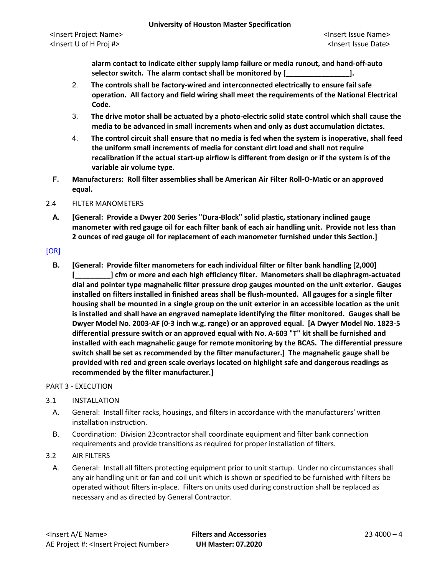**alarm contact to indicate either supply lamp failure or media runout, and hand-off-auto selector switch. The alarm contact shall be monitored by [\_\_\_\_\_\_\_\_\_\_\_\_\_\_\_\_].**

- 2. **The controls shall be factory-wired and interconnected electrically to ensure fail safe operation. All factory and field wiring shall meet the requirements of the National Electrical Code.**
- 3. **The drive motor shall be actuated by a photo-electric solid state control which shall cause the media to be advanced in small increments when and only as dust accumulation dictates.**
- 4. **The control circuit shall ensure that no media is fed when the system is inoperative, shall feed the uniform small increments of media for constant dirt load and shall not require recalibration if the actual start-up airflow is different from design or if the system is of the variable air volume type.**
- **F. Manufacturers: Roll filter assemblies shall be American Air Filter Roll-O-Matic or an approved equal.**

### 2.4 FILTER MANOMETERS

**A. [General: Provide a Dwyer 200 Series "Dura-Block" solid plastic, stationary inclined gauge manometer with red gauge oil for each filter bank of each air handling unit. Provide not less than 2 ounces of red gauge oil for replacement of each manometer furnished under this Section.]**

### [OR]

**B. [General: Provide filter manometers for each individual filter or filter bank handling [2,000] [\_\_\_\_\_\_\_\_\_] cfm or more and each high efficiency filter. Manometers shall be diaphragm-actuated dial and pointer type magnahelic filter pressure drop gauges mounted on the unit exterior. Gauges installed on filters installed in finished areas shall be flush-mounted. All gauges for a single filter housing shall be mounted in a single group on the unit exterior in an accessible location as the unit is installed and shall have an engraved nameplate identifying the filter monitored. Gauges shall be Dwyer Model No. 2003-AF (0-3 inch w.g. range) or an approved equal. [A Dwyer Model No. 1823-5 differential pressure switch or an approved equal with No. A-603 "T" kit shall be furnished and installed with each magnahelic gauge for remote monitoring by the BCAS. The differential pressure switch shall be set as recommended by the filter manufacturer.] The magnahelic gauge shall be provided with red and green scale overlays located on highlight safe and dangerous readings as recommended by the filter manufacturer.]**

#### PART 3 - EXECUTION

# 3.1 INSTALLATION

- A. General: Install filter racks, housings, and filters in accordance with the manufacturers' written installation instruction.
- B. Coordination: Division 23contractor shall coordinate equipment and filter bank connection requirements and provide transitions as required for proper installation of filters.
- 3.2 AIR FILTERS
- A. General: Install all filters protecting equipment prior to unit startup. Under no circumstances shall any air handling unit or fan and coil unit which is shown or specified to be furnished with filters be operated without filters in-place. Filters on units used during construction shall be replaced as necessary and as directed by General Contractor.